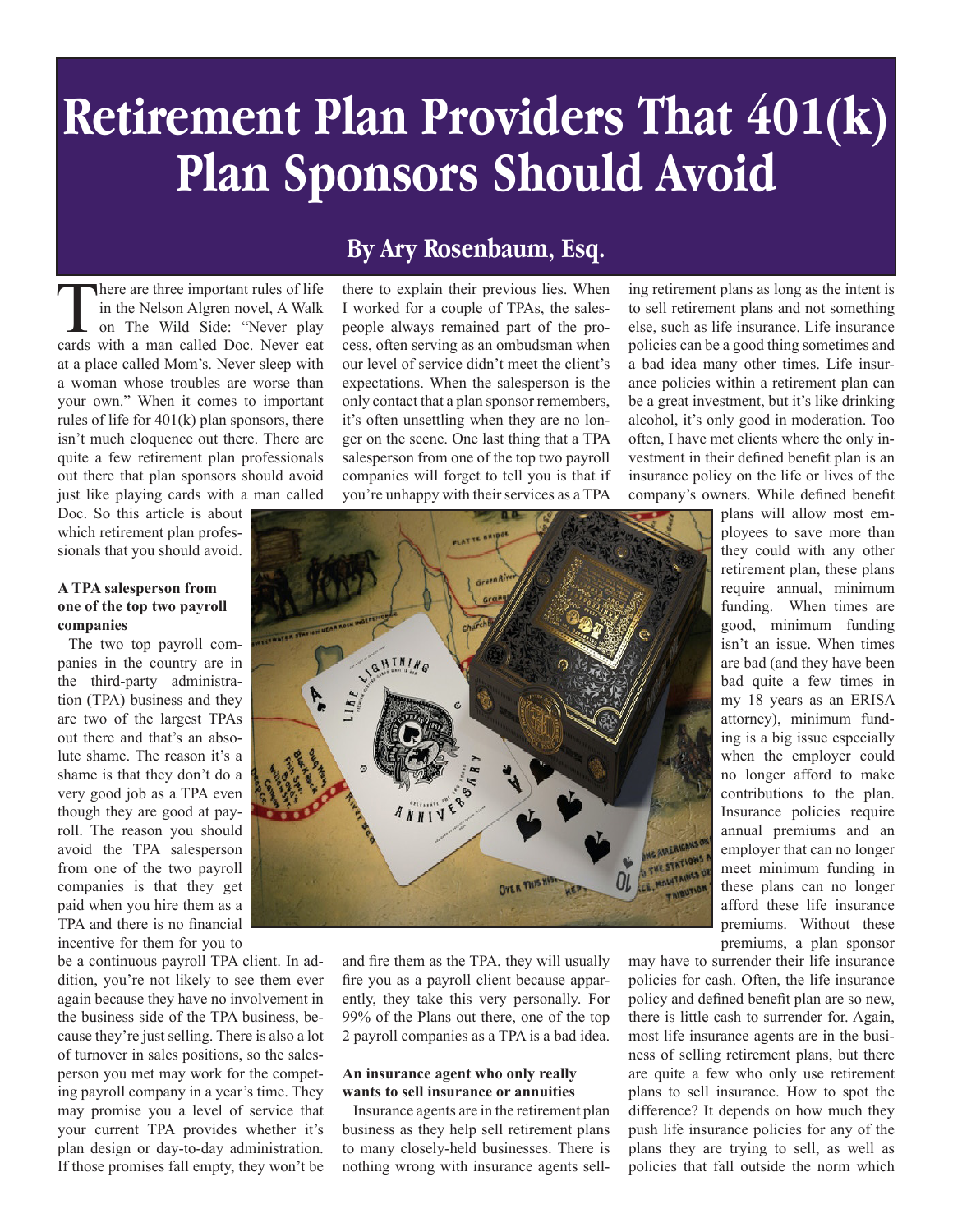# **Retirement Plan Providers That 401(k) Plan Sponsors Should Avoid**

There are three important rules of life<br>in the Nelson Algren novel, A Walk<br>on The Wild Side: "Never play<br>cards with a man called Doc Never eat in the Nelson Algren novel, A Walk on The Wild Side: "Never play cards with a man called Doc. Never eat at a place called Mom's. Never sleep with a woman whose troubles are worse than your own." When it comes to important rules of life for 401(k) plan sponsors, there isn't much eloquence out there. There are quite a few retirement plan professionals out there that plan sponsors should avoid just like playing cards with a man called

Doc. So this article is about which retirement plan professionals that you should avoid.

#### **A TPA salesperson from one of the top two payroll companies**

The two top payroll companies in the country are in the third-party administration (TPA) business and they are two of the largest TPAs out there and that's an absolute shame. The reason it's a shame is that they don't do a very good job as a TPA even though they are good at payroll. The reason you should avoid the TPA salesperson from one of the two payroll companies is that they get paid when you hire them as a TPA and there is no financial incentive for them for you to

be a continuous payroll TPA client. In addition, you're not likely to see them ever again because they have no involvement in the business side of the TPA business, because they're just selling. There is also a lot of turnover in sales positions, so the salesperson you met may work for the competing payroll company in a year's time. They may promise you a level of service that your current TPA provides whether it's plan design or day-to-day administration. If those promises fall empty, they won't be

### **By Ary Rosenbaum, Esq.**

there to explain their previous lies. When I worked for a couple of TPAs, the salespeople always remained part of the process, often serving as an ombudsman when our level of service didn't meet the client's expectations. When the salesperson is the only contact that a plan sponsor remembers, it's often unsettling when they are no longer on the scene. One last thing that a TPA salesperson from one of the top two payroll companies will forget to tell you is that if you're unhappy with their services as a TPA



and fire them as the TPA, they will usually fire you as a payroll client because apparently, they take this very personally. For 99% of the Plans out there, one of the top 2 payroll companies as a TPA is a bad idea.

#### **An insurance agent who only really wants to sell insurance or annuities**

Insurance agents are in the retirement plan business as they help sell retirement plans to many closely-held businesses. There is nothing wrong with insurance agents selling retirement plans as long as the intent is to sell retirement plans and not something else, such as life insurance. Life insurance policies can be a good thing sometimes and a bad idea many other times. Life insurance policies within a retirement plan can be a great investment, but it's like drinking alcohol, it's only good in moderation. Too often, I have met clients where the only investment in their defined benefit plan is an insurance policy on the life or lives of the company's owners. While defined benefit

plans will allow most employees to save more than they could with any other retirement plan, these plans require annual, minimum funding. When times are good, minimum funding isn't an issue. When times are bad (and they have been bad quite a few times in my 18 years as an ERISA attorney), minimum funding is a big issue especially when the employer could no longer afford to make contributions to the plan. Insurance policies require annual premiums and an employer that can no longer meet minimum funding in these plans can no longer afford these life insurance premiums. Without these premiums, a plan sponsor

may have to surrender their life insurance policies for cash. Often, the life insurance policy and defined benefit plan are so new, there is little cash to surrender for. Again, most life insurance agents are in the business of selling retirement plans, but there are quite a few who only use retirement plans to sell insurance. How to spot the difference? It depends on how much they push life insurance policies for any of the plans they are trying to sell, as well as policies that fall outside the norm which